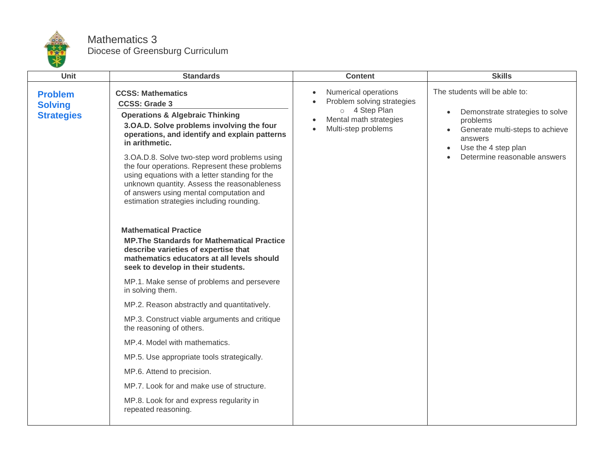

## Mathematics 3 Diocese of Greensburg Curriculum

| <b>Unit</b>                                           | <b>Standards</b>                                                                                                                                                                                                                                                                                                                                                                                                                                                                                         | <b>Content</b>                                                                                                                                 | <b>Skills</b>                                                                                                                                                                                                            |
|-------------------------------------------------------|----------------------------------------------------------------------------------------------------------------------------------------------------------------------------------------------------------------------------------------------------------------------------------------------------------------------------------------------------------------------------------------------------------------------------------------------------------------------------------------------------------|------------------------------------------------------------------------------------------------------------------------------------------------|--------------------------------------------------------------------------------------------------------------------------------------------------------------------------------------------------------------------------|
| <b>Problem</b><br><b>Solving</b><br><b>Strategies</b> | <b>CCSS: Mathematics</b><br><b>CCSS: Grade 3</b><br><b>Operations &amp; Algebraic Thinking</b><br>3.OA.D. Solve problems involving the four<br>operations, and identify and explain patterns<br>in arithmetic.<br>3.OA.D.8. Solve two-step word problems using<br>the four operations. Represent these problems<br>using equations with a letter standing for the<br>unknown quantity. Assess the reasonableness<br>of answers using mental computation and<br>estimation strategies including rounding. | Numerical operations<br>$\bullet$<br>Problem solving strategies<br>o 4 Step Plan<br>Mental math strategies<br>Multi-step problems<br>$\bullet$ | The students will be able to:<br>Demonstrate strategies to solve<br>$\bullet$<br>problems<br>Generate multi-steps to achieve<br>answers<br>Use the 4 step plan<br>$\bullet$<br>Determine reasonable answers<br>$\bullet$ |
|                                                       | <b>Mathematical Practice</b><br><b>MP. The Standards for Mathematical Practice</b><br>describe varieties of expertise that<br>mathematics educators at all levels should<br>seek to develop in their students.                                                                                                                                                                                                                                                                                           |                                                                                                                                                |                                                                                                                                                                                                                          |
|                                                       | MP.1. Make sense of problems and persevere<br>in solving them.                                                                                                                                                                                                                                                                                                                                                                                                                                           |                                                                                                                                                |                                                                                                                                                                                                                          |
|                                                       | MP.2. Reason abstractly and quantitatively.                                                                                                                                                                                                                                                                                                                                                                                                                                                              |                                                                                                                                                |                                                                                                                                                                                                                          |
|                                                       | MP.3. Construct viable arguments and critique<br>the reasoning of others.                                                                                                                                                                                                                                                                                                                                                                                                                                |                                                                                                                                                |                                                                                                                                                                                                                          |
|                                                       | MP.4. Model with mathematics.                                                                                                                                                                                                                                                                                                                                                                                                                                                                            |                                                                                                                                                |                                                                                                                                                                                                                          |
|                                                       | MP.5. Use appropriate tools strategically.                                                                                                                                                                                                                                                                                                                                                                                                                                                               |                                                                                                                                                |                                                                                                                                                                                                                          |
|                                                       | MP.6. Attend to precision.                                                                                                                                                                                                                                                                                                                                                                                                                                                                               |                                                                                                                                                |                                                                                                                                                                                                                          |
|                                                       | MP.7. Look for and make use of structure.                                                                                                                                                                                                                                                                                                                                                                                                                                                                |                                                                                                                                                |                                                                                                                                                                                                                          |
|                                                       | MP.8. Look for and express regularity in<br>repeated reasoning.                                                                                                                                                                                                                                                                                                                                                                                                                                          |                                                                                                                                                |                                                                                                                                                                                                                          |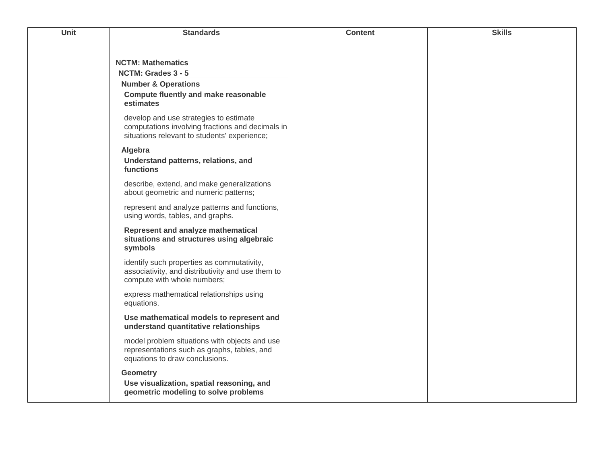| <b>Unit</b> | <b>Standards</b>                                                                                                                           | <b>Content</b> | <b>Skills</b> |
|-------------|--------------------------------------------------------------------------------------------------------------------------------------------|----------------|---------------|
|             |                                                                                                                                            |                |               |
|             | <b>NCTM: Mathematics</b><br>NCTM: Grades 3 - 5                                                                                             |                |               |
|             | <b>Number &amp; Operations</b>                                                                                                             |                |               |
|             | <b>Compute fluently and make reasonable</b><br>estimates                                                                                   |                |               |
|             | develop and use strategies to estimate<br>computations involving fractions and decimals in<br>situations relevant to students' experience; |                |               |
|             | Algebra<br>Understand patterns, relations, and<br>functions                                                                                |                |               |
|             | describe, extend, and make generalizations<br>about geometric and numeric patterns;                                                        |                |               |
|             | represent and analyze patterns and functions,<br>using words, tables, and graphs.                                                          |                |               |
|             | Represent and analyze mathematical<br>situations and structures using algebraic<br>symbols                                                 |                |               |
|             | identify such properties as commutativity,<br>associativity, and distributivity and use them to<br>compute with whole numbers;             |                |               |
|             | express mathematical relationships using<br>equations.                                                                                     |                |               |
|             | Use mathematical models to represent and<br>understand quantitative relationships                                                          |                |               |
|             | model problem situations with objects and use<br>representations such as graphs, tables, and<br>equations to draw conclusions.             |                |               |
|             | <b>Geometry</b><br>Use visualization, spatial reasoning, and<br>geometric modeling to solve problems                                       |                |               |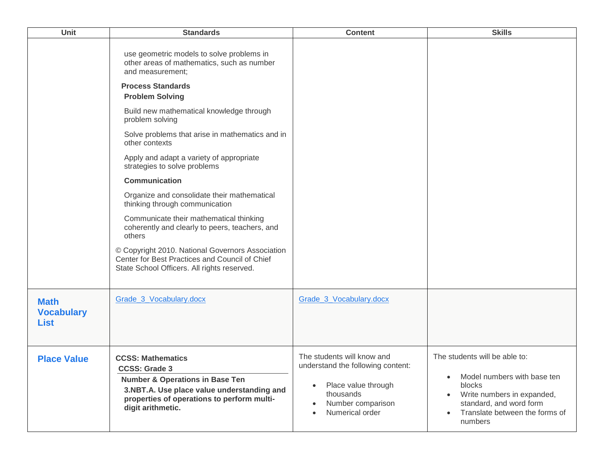| Unit                                            | <b>Standards</b>                                                                                                                                                                                                | <b>Content</b>                                                                                                                                           | <b>Skills</b>                                                                                                                                                                                                       |
|-------------------------------------------------|-----------------------------------------------------------------------------------------------------------------------------------------------------------------------------------------------------------------|----------------------------------------------------------------------------------------------------------------------------------------------------------|---------------------------------------------------------------------------------------------------------------------------------------------------------------------------------------------------------------------|
|                                                 | use geometric models to solve problems in<br>other areas of mathematics, such as number<br>and measurement;                                                                                                     |                                                                                                                                                          |                                                                                                                                                                                                                     |
|                                                 | <b>Process Standards</b><br><b>Problem Solving</b>                                                                                                                                                              |                                                                                                                                                          |                                                                                                                                                                                                                     |
|                                                 | Build new mathematical knowledge through<br>problem solving                                                                                                                                                     |                                                                                                                                                          |                                                                                                                                                                                                                     |
|                                                 | Solve problems that arise in mathematics and in<br>other contexts                                                                                                                                               |                                                                                                                                                          |                                                                                                                                                                                                                     |
|                                                 | Apply and adapt a variety of appropriate<br>strategies to solve problems                                                                                                                                        |                                                                                                                                                          |                                                                                                                                                                                                                     |
|                                                 | <b>Communication</b>                                                                                                                                                                                            |                                                                                                                                                          |                                                                                                                                                                                                                     |
|                                                 | Organize and consolidate their mathematical<br>thinking through communication                                                                                                                                   |                                                                                                                                                          |                                                                                                                                                                                                                     |
|                                                 | Communicate their mathematical thinking<br>coherently and clearly to peers, teachers, and<br>others                                                                                                             |                                                                                                                                                          |                                                                                                                                                                                                                     |
|                                                 | © Copyright 2010. National Governors Association<br>Center for Best Practices and Council of Chief<br>State School Officers. All rights reserved.                                                               |                                                                                                                                                          |                                                                                                                                                                                                                     |
| <b>Math</b><br><b>Vocabulary</b><br><b>List</b> | Grade 3 Vocabulary.docx                                                                                                                                                                                         | Grade 3 Vocabulary.docx                                                                                                                                  |                                                                                                                                                                                                                     |
| <b>Place Value</b>                              | <b>CCSS: Mathematics</b><br><b>CCSS: Grade 3</b><br><b>Number &amp; Operations in Base Ten</b><br>3.NBT.A. Use place value understanding and<br>properties of operations to perform multi-<br>digit arithmetic. | The students will know and<br>understand the following content:<br>Place value through<br>$\bullet$<br>thousands<br>Number comparison<br>Numerical order | The students will be able to:<br>Model numbers with base ten<br>$\bullet$<br>blocks<br>Write numbers in expanded,<br>$\bullet$<br>standard, and word form<br>Translate between the forms of<br>$\bullet$<br>numbers |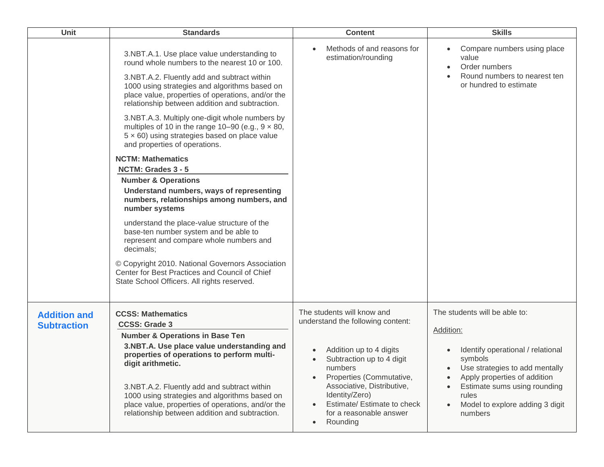| Unit                                      | <b>Standards</b>                                                                                                                                                                                                                                                                                                                                                                                                                                                                                             | <b>Content</b>                                                                                                                                                                                                                                                                                    | <b>Skills</b>                                                                                                                                                                                                                                                                   |
|-------------------------------------------|--------------------------------------------------------------------------------------------------------------------------------------------------------------------------------------------------------------------------------------------------------------------------------------------------------------------------------------------------------------------------------------------------------------------------------------------------------------------------------------------------------------|---------------------------------------------------------------------------------------------------------------------------------------------------------------------------------------------------------------------------------------------------------------------------------------------------|---------------------------------------------------------------------------------------------------------------------------------------------------------------------------------------------------------------------------------------------------------------------------------|
|                                           | 3.NBT.A.1. Use place value understanding to<br>round whole numbers to the nearest 10 or 100.<br>3.NBT.A.2. Fluently add and subtract within<br>1000 using strategies and algorithms based on<br>place value, properties of operations, and/or the<br>relationship between addition and subtraction.<br>3.NBT.A.3. Multiply one-digit whole numbers by<br>multiples of 10 in the range 10-90 (e.g., $9 \times 80$ ,<br>$5 \times 60$ ) using strategies based on place value<br>and properties of operations. | Methods of and reasons for<br>estimation/rounding                                                                                                                                                                                                                                                 | Compare numbers using place<br>value<br>Order numbers<br>Round numbers to nearest ten<br>or hundred to estimate                                                                                                                                                                 |
|                                           | <b>NCTM: Mathematics</b>                                                                                                                                                                                                                                                                                                                                                                                                                                                                                     |                                                                                                                                                                                                                                                                                                   |                                                                                                                                                                                                                                                                                 |
|                                           | NCTM: Grades 3 - 5<br><b>Number &amp; Operations</b><br>Understand numbers, ways of representing<br>numbers, relationships among numbers, and<br>number systems<br>understand the place-value structure of the<br>base-ten number system and be able to<br>represent and compare whole numbers and<br>decimals;<br>© Copyright 2010. National Governors Association<br>Center for Best Practices and Council of Chief<br>State School Officers. All rights reserved.                                         |                                                                                                                                                                                                                                                                                                   |                                                                                                                                                                                                                                                                                 |
| <b>Addition and</b><br><b>Subtraction</b> | <b>CCSS: Mathematics</b><br><b>CCSS: Grade 3</b><br><b>Number &amp; Operations in Base Ten</b><br>3.NBT.A. Use place value understanding and<br>properties of operations to perform multi-<br>digit arithmetic.<br>3.NBT.A.2. Fluently add and subtract within<br>1000 using strategies and algorithms based on<br>place value, properties of operations, and/or the<br>relationship between addition and subtraction.                                                                                       | The students will know and<br>understand the following content:<br>Addition up to 4 digits<br>Subtraction up to 4 digit<br>numbers<br>Properties (Commutative,<br>Associative, Distributive,<br>Identity/Zero)<br>Estimate/ Estimate to check<br>for a reasonable answer<br>Rounding<br>$\bullet$ | The students will be able to:<br>Addition:<br>Identify operational / relational<br>symbols<br>• Use strategies to add mentally<br>Apply properties of addition<br>$\bullet$<br>Estimate sums using rounding<br>rules<br>Model to explore adding 3 digit<br>$\bullet$<br>numbers |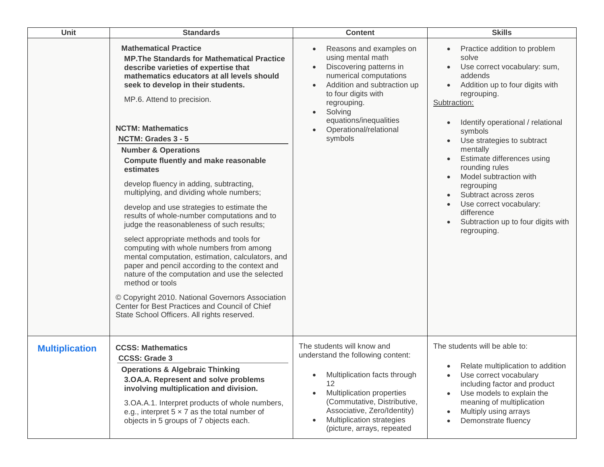| Unit                  | <b>Standards</b>                                                                                                                                                                                                                                                                                                                                                                                                                                                                                                                                                                                                                                                                                                                                                                                                                                                                                                                                                                                                                                    | <b>Content</b>                                                                                                                                                                                                                                                                          | <b>Skills</b>                                                                                                                                                                                                                                                                                                                                                                                                                                               |
|-----------------------|-----------------------------------------------------------------------------------------------------------------------------------------------------------------------------------------------------------------------------------------------------------------------------------------------------------------------------------------------------------------------------------------------------------------------------------------------------------------------------------------------------------------------------------------------------------------------------------------------------------------------------------------------------------------------------------------------------------------------------------------------------------------------------------------------------------------------------------------------------------------------------------------------------------------------------------------------------------------------------------------------------------------------------------------------------|-----------------------------------------------------------------------------------------------------------------------------------------------------------------------------------------------------------------------------------------------------------------------------------------|-------------------------------------------------------------------------------------------------------------------------------------------------------------------------------------------------------------------------------------------------------------------------------------------------------------------------------------------------------------------------------------------------------------------------------------------------------------|
|                       | <b>Mathematical Practice</b><br><b>MP. The Standards for Mathematical Practice</b><br>describe varieties of expertise that<br>mathematics educators at all levels should<br>seek to develop in their students.<br>MP.6. Attend to precision.<br><b>NCTM: Mathematics</b><br>NCTM: Grades 3 - 5<br><b>Number &amp; Operations</b><br><b>Compute fluently and make reasonable</b><br>estimates<br>develop fluency in adding, subtracting,<br>multiplying, and dividing whole numbers;<br>develop and use strategies to estimate the<br>results of whole-number computations and to<br>judge the reasonableness of such results;<br>select appropriate methods and tools for<br>computing with whole numbers from among<br>mental computation, estimation, calculators, and<br>paper and pencil according to the context and<br>nature of the computation and use the selected<br>method or tools<br>© Copyright 2010. National Governors Association<br>Center for Best Practices and Council of Chief<br>State School Officers. All rights reserved. | Reasons and examples on<br>using mental math<br>Discovering patterns in<br>$\bullet$<br>numerical computations<br>Addition and subtraction up<br>$\bullet$<br>to four digits with<br>regrouping.<br>Solving<br>$\bullet$<br>equations/inequalities<br>Operational/relational<br>symbols | Practice addition to problem<br>solve<br>Use correct vocabulary: sum,<br>addends<br>Addition up to four digits with<br>regrouping.<br>Subtraction:<br>Identify operational / relational<br>symbols<br>Use strategies to subtract<br>mentally<br>Estimate differences using<br>rounding rules<br>Model subtraction with<br>regrouping<br>Subtract across zeros<br>Use correct vocabulary:<br>difference<br>Subtraction up to four digits with<br>regrouping. |
| <b>Multiplication</b> | <b>CCSS: Mathematics</b><br><b>CCSS: Grade 3</b><br><b>Operations &amp; Algebraic Thinking</b><br>3.OA.A. Represent and solve problems<br>involving multiplication and division.<br>3.OA.A.1. Interpret products of whole numbers,<br>e.g., interpret $5 \times 7$ as the total number of<br>objects in 5 groups of 7 objects each.                                                                                                                                                                                                                                                                                                                                                                                                                                                                                                                                                                                                                                                                                                                 | The students will know and<br>understand the following content:<br>Multiplication facts through<br>12<br>Multiplication properties<br>$\bullet$<br>(Commutative, Distributive,<br>Associative, Zero/Identity)<br>Multiplication strategies<br>(picture, arrays, repeated                | The students will be able to:<br>• Relate multiplication to addition<br>Use correct vocabulary<br>$\bullet$<br>including factor and product<br>Use models to explain the<br>$\bullet$<br>meaning of multiplication<br>Multiply using arrays<br>$\bullet$<br>Demonstrate fluency<br>$\bullet$                                                                                                                                                                |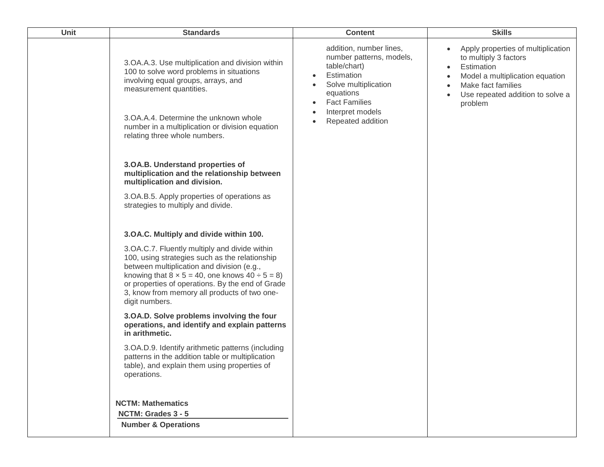| Unit | <b>Standards</b>                                                                                                                                                                                                                                                                                                                    | <b>Content</b>                                                                                                                                                                                                    | <b>Skills</b>                                                                                                                                                                                               |
|------|-------------------------------------------------------------------------------------------------------------------------------------------------------------------------------------------------------------------------------------------------------------------------------------------------------------------------------------|-------------------------------------------------------------------------------------------------------------------------------------------------------------------------------------------------------------------|-------------------------------------------------------------------------------------------------------------------------------------------------------------------------------------------------------------|
|      | 3.OA.A.3. Use multiplication and division within<br>100 to solve word problems in situations<br>involving equal groups, arrays, and<br>measurement quantities.<br>3.OA.A.4. Determine the unknown whole<br>number in a multiplication or division equation<br>relating three whole numbers.                                         | addition, number lines,<br>number patterns, models,<br>table/chart)<br>Estimation<br>$\bullet$<br>Solve multiplication<br>equations<br><b>Fact Families</b><br>$\bullet$<br>Interpret models<br>Repeated addition | Apply properties of multiplication<br>$\bullet$<br>to multiply 3 factors<br>Estimation<br>$\bullet$<br>Model a multiplication equation<br>Make fact families<br>Use repeated addition to solve a<br>problem |
|      | 3.OA.B. Understand properties of<br>multiplication and the relationship between<br>multiplication and division.                                                                                                                                                                                                                     |                                                                                                                                                                                                                   |                                                                                                                                                                                                             |
|      | 3.OA.B.5. Apply properties of operations as<br>strategies to multiply and divide.                                                                                                                                                                                                                                                   |                                                                                                                                                                                                                   |                                                                                                                                                                                                             |
|      | 3.OA.C. Multiply and divide within 100.                                                                                                                                                                                                                                                                                             |                                                                                                                                                                                                                   |                                                                                                                                                                                                             |
|      | 3.OA.C.7. Fluently multiply and divide within<br>100, using strategies such as the relationship<br>between multiplication and division (e.g.,<br>knowing that $8 \times 5 = 40$ , one knows $40 \div 5 = 8$ )<br>or properties of operations. By the end of Grade<br>3, know from memory all products of two one-<br>digit numbers. |                                                                                                                                                                                                                   |                                                                                                                                                                                                             |
|      | 3.OA.D. Solve problems involving the four<br>operations, and identify and explain patterns<br>in arithmetic.                                                                                                                                                                                                                        |                                                                                                                                                                                                                   |                                                                                                                                                                                                             |
|      | 3.OA.D.9. Identify arithmetic patterns (including<br>patterns in the addition table or multiplication<br>table), and explain them using properties of<br>operations.                                                                                                                                                                |                                                                                                                                                                                                                   |                                                                                                                                                                                                             |
|      | <b>NCTM: Mathematics</b>                                                                                                                                                                                                                                                                                                            |                                                                                                                                                                                                                   |                                                                                                                                                                                                             |
|      | NCTM: Grades 3 - 5                                                                                                                                                                                                                                                                                                                  |                                                                                                                                                                                                                   |                                                                                                                                                                                                             |
|      | <b>Number &amp; Operations</b>                                                                                                                                                                                                                                                                                                      |                                                                                                                                                                                                                   |                                                                                                                                                                                                             |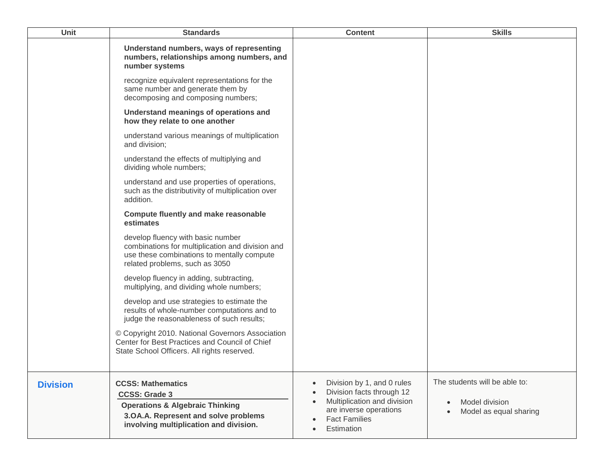| Unit            | <b>Standards</b>                                                                                                                                                                 | <b>Content</b>                                                                                                                                                      | <b>Skills</b>                                                                          |
|-----------------|----------------------------------------------------------------------------------------------------------------------------------------------------------------------------------|---------------------------------------------------------------------------------------------------------------------------------------------------------------------|----------------------------------------------------------------------------------------|
|                 | Understand numbers, ways of representing<br>numbers, relationships among numbers, and<br>number systems                                                                          |                                                                                                                                                                     |                                                                                        |
|                 | recognize equivalent representations for the<br>same number and generate them by<br>decomposing and composing numbers;                                                           |                                                                                                                                                                     |                                                                                        |
|                 | Understand meanings of operations and<br>how they relate to one another                                                                                                          |                                                                                                                                                                     |                                                                                        |
|                 | understand various meanings of multiplication<br>and division;                                                                                                                   |                                                                                                                                                                     |                                                                                        |
|                 | understand the effects of multiplying and<br>dividing whole numbers;                                                                                                             |                                                                                                                                                                     |                                                                                        |
|                 | understand and use properties of operations,<br>such as the distributivity of multiplication over<br>addition.                                                                   |                                                                                                                                                                     |                                                                                        |
|                 | <b>Compute fluently and make reasonable</b><br>estimates                                                                                                                         |                                                                                                                                                                     |                                                                                        |
|                 | develop fluency with basic number<br>combinations for multiplication and division and<br>use these combinations to mentally compute<br>related problems, such as 3050            |                                                                                                                                                                     |                                                                                        |
|                 | develop fluency in adding, subtracting,<br>multiplying, and dividing whole numbers;                                                                                              |                                                                                                                                                                     |                                                                                        |
|                 | develop and use strategies to estimate the<br>results of whole-number computations and to<br>judge the reasonableness of such results;                                           |                                                                                                                                                                     |                                                                                        |
|                 | © Copyright 2010. National Governors Association<br>Center for Best Practices and Council of Chief<br>State School Officers. All rights reserved.                                |                                                                                                                                                                     |                                                                                        |
| <b>Division</b> | <b>CCSS: Mathematics</b><br><b>CCSS: Grade 3</b><br><b>Operations &amp; Algebraic Thinking</b><br>3.OA.A. Represent and solve problems<br>involving multiplication and division. | Division by 1, and 0 rules<br>$\bullet$<br>Division facts through 12<br>Multiplication and division<br>are inverse operations<br><b>Fact Families</b><br>Estimation | The students will be able to:<br>Model division<br>$\bullet$<br>Model as equal sharing |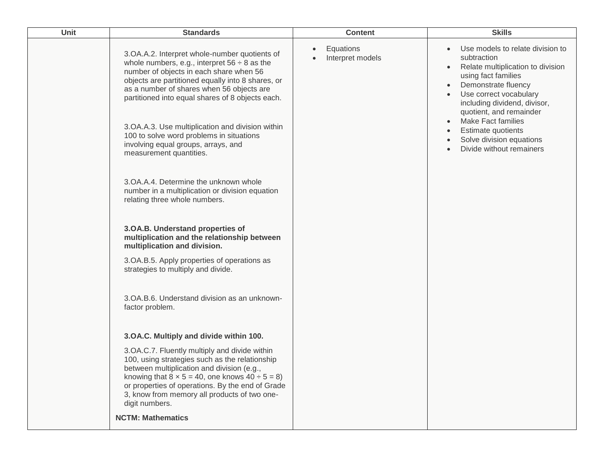| Unit | <b>Standards</b>                                                                                                                                                                                                                                                                                                                                                                                                                                                                                                                                                                                                                                                                                                                                                                                                                                                                  | <b>Content</b>                | <b>Skills</b>                                                                                                                                                                                                                                                                                                                                                |
|------|-----------------------------------------------------------------------------------------------------------------------------------------------------------------------------------------------------------------------------------------------------------------------------------------------------------------------------------------------------------------------------------------------------------------------------------------------------------------------------------------------------------------------------------------------------------------------------------------------------------------------------------------------------------------------------------------------------------------------------------------------------------------------------------------------------------------------------------------------------------------------------------|-------------------------------|--------------------------------------------------------------------------------------------------------------------------------------------------------------------------------------------------------------------------------------------------------------------------------------------------------------------------------------------------------------|
|      | 3.OA.A.2. Interpret whole-number quotients of<br>whole numbers, e.g., interpret $56 \div 8$ as the<br>number of objects in each share when 56<br>objects are partitioned equally into 8 shares, or<br>as a number of shares when 56 objects are<br>partitioned into equal shares of 8 objects each.<br>3.OA.A.3. Use multiplication and division within<br>100 to solve word problems in situations<br>involving equal groups, arrays, and<br>measurement quantities.<br>3. OA.A.4. Determine the unknown whole<br>number in a multiplication or division equation<br>relating three whole numbers.<br>3.OA.B. Understand properties of<br>multiplication and the relationship between<br>multiplication and division.<br>3.OA.B.5. Apply properties of operations as<br>strategies to multiply and divide.<br>3. OA. B. 6. Understand division as an unknown-<br>factor problem. | Equations<br>Interpret models | Use models to relate division to<br>subtraction<br>Relate multiplication to division<br>$\bullet$<br>using fact families<br>Demonstrate fluency<br>Use correct vocabulary<br>including dividend, divisor,<br>quotient, and remainder<br><b>Make Fact families</b><br>$\bullet$<br>Estimate quotients<br>Solve division equations<br>Divide without remainers |
|      | 3.OA.C. Multiply and divide within 100.<br>3.OA.C.7. Fluently multiply and divide within<br>100, using strategies such as the relationship<br>between multiplication and division (e.g.,<br>knowing that $8 \times 5 = 40$ , one knows $40 \div 5 = 8$ )<br>or properties of operations. By the end of Grade<br>3, know from memory all products of two one-<br>digit numbers.<br><b>NCTM: Mathematics</b>                                                                                                                                                                                                                                                                                                                                                                                                                                                                        |                               |                                                                                                                                                                                                                                                                                                                                                              |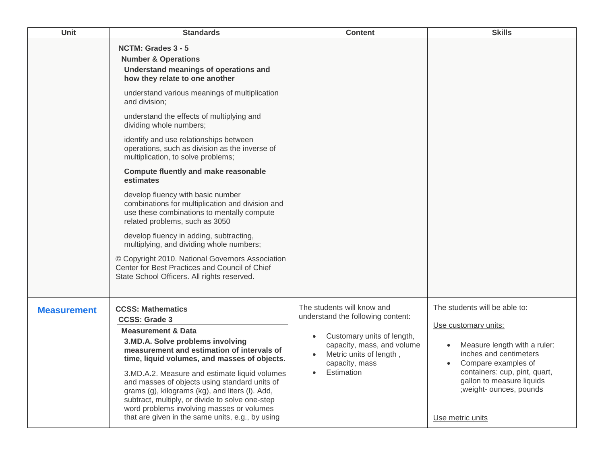| Unit               | <b>Standards</b>                                                                                                                                                                                                                                                                                                                                                                                                                                                                                                                                                                                                                                                                                                                                                                                                                                                                             | <b>Content</b>                                                                                                                                                                                                   | <b>Skills</b>                                                                                                                                                                                                                                        |
|--------------------|----------------------------------------------------------------------------------------------------------------------------------------------------------------------------------------------------------------------------------------------------------------------------------------------------------------------------------------------------------------------------------------------------------------------------------------------------------------------------------------------------------------------------------------------------------------------------------------------------------------------------------------------------------------------------------------------------------------------------------------------------------------------------------------------------------------------------------------------------------------------------------------------|------------------------------------------------------------------------------------------------------------------------------------------------------------------------------------------------------------------|------------------------------------------------------------------------------------------------------------------------------------------------------------------------------------------------------------------------------------------------------|
|                    | NCTM: Grades 3 - 5<br><b>Number &amp; Operations</b><br>Understand meanings of operations and<br>how they relate to one another<br>understand various meanings of multiplication<br>and division;<br>understand the effects of multiplying and<br>dividing whole numbers;<br>identify and use relationships between<br>operations, such as division as the inverse of<br>multiplication, to solve problems;<br><b>Compute fluently and make reasonable</b><br>estimates<br>develop fluency with basic number<br>combinations for multiplication and division and<br>use these combinations to mentally compute<br>related problems, such as 3050<br>develop fluency in adding, subtracting,<br>multiplying, and dividing whole numbers;<br>© Copyright 2010. National Governors Association<br>Center for Best Practices and Council of Chief<br>State School Officers. All rights reserved. |                                                                                                                                                                                                                  |                                                                                                                                                                                                                                                      |
| <b>Measurement</b> | <b>CCSS: Mathematics</b><br><b>CCSS: Grade 3</b><br><b>Measurement &amp; Data</b><br>3.MD.A. Solve problems involving<br>measurement and estimation of intervals of<br>time, liquid volumes, and masses of objects.<br>3.MD.A.2. Measure and estimate liquid volumes<br>and masses of objects using standard units of<br>grams (g), kilograms (kg), and liters (I). Add,<br>subtract, multiply, or divide to solve one-step<br>word problems involving masses or volumes<br>that are given in the same units, e.g., by using                                                                                                                                                                                                                                                                                                                                                                 | The students will know and<br>understand the following content:<br>Customary units of length,<br>$\bullet$<br>capacity, mass, and volume<br>Metric units of length,<br>capacity, mass<br>Estimation<br>$\bullet$ | The students will be able to:<br>Use customary units:<br>Measure length with a ruler:<br>inches and centimeters<br>Compare examples of<br>containers: cup, pint, quart,<br>gallon to measure liquids<br>; weight- ounces, pounds<br>Use metric units |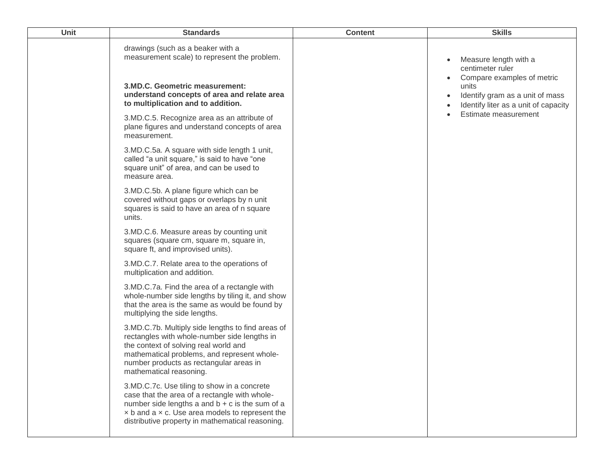| <b>Unit</b> | <b>Standards</b>                                                                                                                                                                                                                                                       | <b>Content</b> | <b>Skills</b>                                                                                                                                                                         |
|-------------|------------------------------------------------------------------------------------------------------------------------------------------------------------------------------------------------------------------------------------------------------------------------|----------------|---------------------------------------------------------------------------------------------------------------------------------------------------------------------------------------|
|             | drawings (such as a beaker with a<br>measurement scale) to represent the problem.<br>3.MD.C. Geometric measurement:<br>understand concepts of area and relate area<br>to multiplication and to addition.                                                               |                | Measure length with a<br>$\bullet$<br>centimeter ruler<br>Compare examples of metric<br>units<br>Identify gram as a unit of mass<br>$\bullet$<br>Identify liter as a unit of capacity |
|             | 3.MD.C.5. Recognize area as an attribute of<br>plane figures and understand concepts of area<br>measurement.                                                                                                                                                           |                | Estimate measurement                                                                                                                                                                  |
|             | 3.MD.C.5a. A square with side length 1 unit,<br>called "a unit square," is said to have "one<br>square unit" of area, and can be used to<br>measure area.                                                                                                              |                |                                                                                                                                                                                       |
|             | 3.MD.C.5b. A plane figure which can be<br>covered without gaps or overlaps by n unit<br>squares is said to have an area of n square<br>units.                                                                                                                          |                |                                                                                                                                                                                       |
|             | 3.MD.C.6. Measure areas by counting unit<br>squares (square cm, square m, square in,<br>square ft, and improvised units).                                                                                                                                              |                |                                                                                                                                                                                       |
|             | 3.MD.C.7. Relate area to the operations of<br>multiplication and addition.                                                                                                                                                                                             |                |                                                                                                                                                                                       |
|             | 3.MD.C.7a. Find the area of a rectangle with<br>whole-number side lengths by tiling it, and show<br>that the area is the same as would be found by<br>multiplying the side lengths.                                                                                    |                |                                                                                                                                                                                       |
|             | 3.MD.C.7b. Multiply side lengths to find areas of<br>rectangles with whole-number side lengths in<br>the context of solving real world and<br>mathematical problems, and represent whole-<br>number products as rectangular areas in<br>mathematical reasoning.        |                |                                                                                                                                                                                       |
|             | 3.MD.C.7c. Use tiling to show in a concrete<br>case that the area of a rectangle with whole-<br>number side lengths a and $b + c$ is the sum of a<br>$\times$ b and a $\times$ c. Use area models to represent the<br>distributive property in mathematical reasoning. |                |                                                                                                                                                                                       |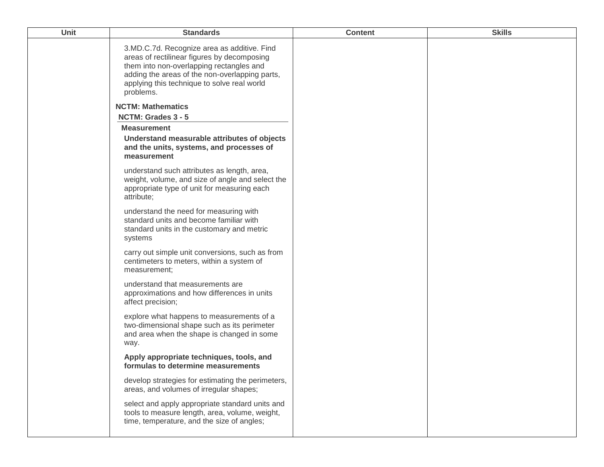| Unit | <b>Standards</b>                                                                                                                                                                                                                                     | <b>Content</b> | <b>Skills</b> |
|------|------------------------------------------------------------------------------------------------------------------------------------------------------------------------------------------------------------------------------------------------------|----------------|---------------|
|      | 3.MD.C.7d. Recognize area as additive. Find<br>areas of rectilinear figures by decomposing<br>them into non-overlapping rectangles and<br>adding the areas of the non-overlapping parts,<br>applying this technique to solve real world<br>problems. |                |               |
|      | <b>NCTM: Mathematics</b>                                                                                                                                                                                                                             |                |               |
|      | NCTM: Grades 3 - 5                                                                                                                                                                                                                                   |                |               |
|      | <b>Measurement</b>                                                                                                                                                                                                                                   |                |               |
|      | Understand measurable attributes of objects<br>and the units, systems, and processes of<br>measurement                                                                                                                                               |                |               |
|      | understand such attributes as length, area,<br>weight, volume, and size of angle and select the<br>appropriate type of unit for measuring each<br>attribute;                                                                                         |                |               |
|      | understand the need for measuring with<br>standard units and become familiar with<br>standard units in the customary and metric<br>systems                                                                                                           |                |               |
|      | carry out simple unit conversions, such as from<br>centimeters to meters, within a system of<br>measurement;                                                                                                                                         |                |               |
|      | understand that measurements are<br>approximations and how differences in units<br>affect precision;                                                                                                                                                 |                |               |
|      | explore what happens to measurements of a<br>two-dimensional shape such as its perimeter<br>and area when the shape is changed in some<br>way.                                                                                                       |                |               |
|      | Apply appropriate techniques, tools, and<br>formulas to determine measurements                                                                                                                                                                       |                |               |
|      | develop strategies for estimating the perimeters,<br>areas, and volumes of irregular shapes;                                                                                                                                                         |                |               |
|      | select and apply appropriate standard units and<br>tools to measure length, area, volume, weight,<br>time, temperature, and the size of angles;                                                                                                      |                |               |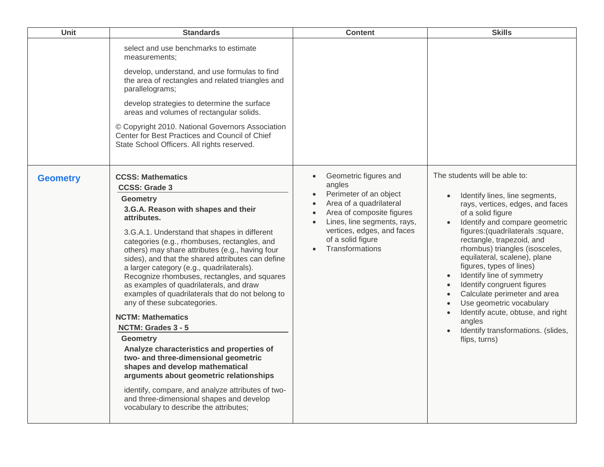| Unit            | <b>Standards</b>                                                                                                                                                                                                                                                                                                                                                                                                                                                                                                                                                                                                                                                                                                                                                                                                                                                                                                                                | <b>Content</b>                                                                                                                                                                                                                                                | <b>Skills</b>                                                                                                                                                                                                                                                                                                                                                                                                                                                                                                                                                                                                                          |
|-----------------|-------------------------------------------------------------------------------------------------------------------------------------------------------------------------------------------------------------------------------------------------------------------------------------------------------------------------------------------------------------------------------------------------------------------------------------------------------------------------------------------------------------------------------------------------------------------------------------------------------------------------------------------------------------------------------------------------------------------------------------------------------------------------------------------------------------------------------------------------------------------------------------------------------------------------------------------------|---------------------------------------------------------------------------------------------------------------------------------------------------------------------------------------------------------------------------------------------------------------|----------------------------------------------------------------------------------------------------------------------------------------------------------------------------------------------------------------------------------------------------------------------------------------------------------------------------------------------------------------------------------------------------------------------------------------------------------------------------------------------------------------------------------------------------------------------------------------------------------------------------------------|
|                 | select and use benchmarks to estimate<br>measurements;<br>develop, understand, and use formulas to find<br>the area of rectangles and related triangles and<br>parallelograms;<br>develop strategies to determine the surface<br>areas and volumes of rectangular solids.<br>© Copyright 2010. National Governors Association<br>Center for Best Practices and Council of Chief<br>State School Officers. All rights reserved.                                                                                                                                                                                                                                                                                                                                                                                                                                                                                                                  |                                                                                                                                                                                                                                                               |                                                                                                                                                                                                                                                                                                                                                                                                                                                                                                                                                                                                                                        |
| <b>Geometry</b> | <b>CCSS: Mathematics</b><br><b>CCSS: Grade 3</b><br><b>Geometry</b><br>3.G.A. Reason with shapes and their<br>attributes.<br>3.G.A.1. Understand that shapes in different<br>categories (e.g., rhombuses, rectangles, and<br>others) may share attributes (e.g., having four<br>sides), and that the shared attributes can define<br>a larger category (e.g., quadrilaterals).<br>Recognize rhombuses, rectangles, and squares<br>as examples of quadrilaterals, and draw<br>examples of quadrilaterals that do not belong to<br>any of these subcategories.<br><b>NCTM: Mathematics</b><br>NCTM: Grades 3 - 5<br><b>Geometry</b><br>Analyze characteristics and properties of<br>two- and three-dimensional geometric<br>shapes and develop mathematical<br>arguments about geometric relationships<br>identify, compare, and analyze attributes of two-<br>and three-dimensional shapes and develop<br>vocabulary to describe the attributes; | Geometric figures and<br>$\bullet$<br>angles<br>Perimeter of an object<br>Area of a quadrilateral<br>$\bullet$<br>Area of composite figures<br>Lines, line segments, rays,<br>$\bullet$<br>vertices, edges, and faces<br>of a solid figure<br>Transformations | The students will be able to:<br>Identify lines, line segments,<br>$\bullet$<br>rays, vertices, edges, and faces<br>of a solid figure<br>Identify and compare geometric<br>figures: (quadrilaterals : square,<br>rectangle, trapezoid, and<br>rhombus) triangles (isosceles,<br>equilateral, scalene), plane<br>figures, types of lines)<br>Identify line of symmetry<br>$\bullet$<br>Identify congruent figures<br>$\bullet$<br>Calculate perimeter and area<br>$\bullet$<br>Use geometric vocabulary<br>$\bullet$<br>Identify acute, obtuse, and right<br>$\bullet$<br>angles<br>Identify transformations. (slides,<br>flips, turns) |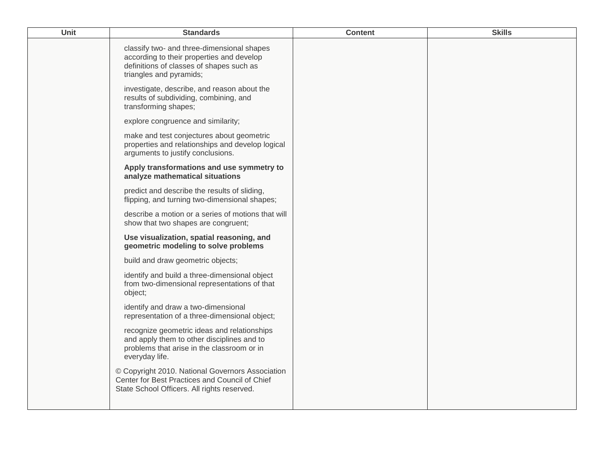| Unit | <b>Standards</b>                                                                                                                                               | <b>Content</b> | <b>Skills</b> |
|------|----------------------------------------------------------------------------------------------------------------------------------------------------------------|----------------|---------------|
|      | classify two- and three-dimensional shapes<br>according to their properties and develop<br>definitions of classes of shapes such as<br>triangles and pyramids; |                |               |
|      | investigate, describe, and reason about the<br>results of subdividing, combining, and<br>transforming shapes;                                                  |                |               |
|      | explore congruence and similarity;                                                                                                                             |                |               |
|      | make and test conjectures about geometric<br>properties and relationships and develop logical<br>arguments to justify conclusions.                             |                |               |
|      | Apply transformations and use symmetry to<br>analyze mathematical situations                                                                                   |                |               |
|      | predict and describe the results of sliding,<br>flipping, and turning two-dimensional shapes;                                                                  |                |               |
|      | describe a motion or a series of motions that will<br>show that two shapes are congruent;                                                                      |                |               |
|      | Use visualization, spatial reasoning, and<br>geometric modeling to solve problems                                                                              |                |               |
|      | build and draw geometric objects;                                                                                                                              |                |               |
|      | identify and build a three-dimensional object<br>from two-dimensional representations of that<br>object;                                                       |                |               |
|      | identify and draw a two-dimensional<br>representation of a three-dimensional object;                                                                           |                |               |
|      | recognize geometric ideas and relationships<br>and apply them to other disciplines and to<br>problems that arise in the classroom or in<br>everyday life.      |                |               |
|      | © Copyright 2010. National Governors Association<br>Center for Best Practices and Council of Chief<br>State School Officers. All rights reserved.              |                |               |
|      |                                                                                                                                                                |                |               |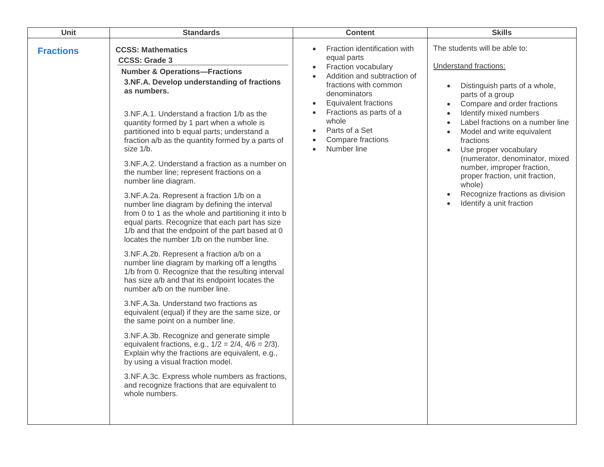| Unit<br><b>Standards</b>                                                                                                                                                                                                                                                                                                                                                                                                                                                                                                                                                                                                                                                                                                                                                                                                                                                                                                                                                                                                                                                                                                                                                                                                                                                                                                                                                                                                                                                                                              | <b>Content</b>                                                                                                                                                                                                                                                      | <b>Skills</b>                                                                                                                                                                                                                                                                                                                                                                                                                                                         |
|-----------------------------------------------------------------------------------------------------------------------------------------------------------------------------------------------------------------------------------------------------------------------------------------------------------------------------------------------------------------------------------------------------------------------------------------------------------------------------------------------------------------------------------------------------------------------------------------------------------------------------------------------------------------------------------------------------------------------------------------------------------------------------------------------------------------------------------------------------------------------------------------------------------------------------------------------------------------------------------------------------------------------------------------------------------------------------------------------------------------------------------------------------------------------------------------------------------------------------------------------------------------------------------------------------------------------------------------------------------------------------------------------------------------------------------------------------------------------------------------------------------------------|---------------------------------------------------------------------------------------------------------------------------------------------------------------------------------------------------------------------------------------------------------------------|-----------------------------------------------------------------------------------------------------------------------------------------------------------------------------------------------------------------------------------------------------------------------------------------------------------------------------------------------------------------------------------------------------------------------------------------------------------------------|
| <b>CCSS: Mathematics</b><br><b>Fractions</b><br><b>CCSS: Grade 3</b><br><b>Number &amp; Operations-Fractions</b><br>3.NF.A. Develop understanding of fractions<br>as numbers.<br>3.NF.A.1. Understand a fraction 1/b as the<br>quantity formed by 1 part when a whole is<br>partitioned into b equal parts; understand a<br>fraction a/b as the quantity formed by a parts of<br>size 1/b.<br>3.NF.A.2. Understand a fraction as a number on<br>the number line; represent fractions on a<br>number line diagram.<br>3.NF.A.2a. Represent a fraction 1/b on a<br>number line diagram by defining the interval<br>from 0 to 1 as the whole and partitioning it into b<br>equal parts. Recognize that each part has size<br>1/b and that the endpoint of the part based at 0<br>locates the number 1/b on the number line.<br>3.NF.A.2b. Represent a fraction a/b on a<br>number line diagram by marking off a lengths<br>1/b from 0. Recognize that the resulting interval<br>has size a/b and that its endpoint locates the<br>number a/b on the number line.<br>3.NF.A.3a. Understand two fractions as<br>equivalent (equal) if they are the same size, or<br>the same point on a number line.<br>3.NF.A.3b. Recognize and generate simple<br>equivalent fractions, e.g., $1/2 = 2/4$ , $4/6 = 2/3$ ).<br>Explain why the fractions are equivalent, e.g.,<br>by using a visual fraction model.<br>3.NF.A.3c. Express whole numbers as fractions,<br>and recognize fractions that are equivalent to<br>whole numbers. | Fraction identification with<br>equal parts<br>Fraction vocabulary<br>Addition and subtraction of<br>fractions with common<br>denominators<br><b>Equivalent fractions</b><br>Fractions as parts of a<br>whole<br>Parts of a Set<br>Compare fractions<br>Number line | The students will be able to:<br>Understand fractions:<br>Distinguish parts of a whole,<br>$\bullet$<br>parts of a group<br>Compare and order fractions<br>Identify mixed numbers<br>Label fractions on a number line<br>Model and write equivalent<br>fractions<br>Use proper vocabulary<br>(numerator, denominator, mixed<br>number, improper fraction,<br>proper fraction, unit fraction,<br>whole)<br>Recognize fractions as division<br>Identify a unit fraction |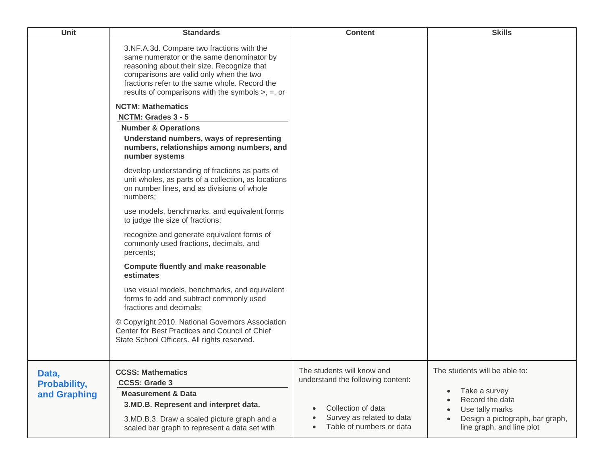| <b>Unit</b>                                  | <b>Standards</b>                                                                                                                                                                                                                                                                           | <b>Content</b>                                                                                                                                              | <b>Skills</b>                                                                                                                                                     |
|----------------------------------------------|--------------------------------------------------------------------------------------------------------------------------------------------------------------------------------------------------------------------------------------------------------------------------------------------|-------------------------------------------------------------------------------------------------------------------------------------------------------------|-------------------------------------------------------------------------------------------------------------------------------------------------------------------|
|                                              | 3.NF.A.3d. Compare two fractions with the<br>same numerator or the same denominator by<br>reasoning about their size. Recognize that<br>comparisons are valid only when the two<br>fractions refer to the same whole. Record the<br>results of comparisons with the symbols $>$ , $=$ , or |                                                                                                                                                             |                                                                                                                                                                   |
|                                              | <b>NCTM: Mathematics</b>                                                                                                                                                                                                                                                                   |                                                                                                                                                             |                                                                                                                                                                   |
|                                              | NCTM: Grades 3 - 5                                                                                                                                                                                                                                                                         |                                                                                                                                                             |                                                                                                                                                                   |
|                                              | <b>Number &amp; Operations</b><br>Understand numbers, ways of representing<br>numbers, relationships among numbers, and<br>number systems                                                                                                                                                  |                                                                                                                                                             |                                                                                                                                                                   |
|                                              | develop understanding of fractions as parts of<br>unit wholes, as parts of a collection, as locations<br>on number lines, and as divisions of whole<br>numbers;                                                                                                                            |                                                                                                                                                             |                                                                                                                                                                   |
|                                              | use models, benchmarks, and equivalent forms<br>to judge the size of fractions;                                                                                                                                                                                                            |                                                                                                                                                             |                                                                                                                                                                   |
|                                              | recognize and generate equivalent forms of<br>commonly used fractions, decimals, and<br>percents;                                                                                                                                                                                          |                                                                                                                                                             |                                                                                                                                                                   |
|                                              | <b>Compute fluently and make reasonable</b><br>estimates                                                                                                                                                                                                                                   |                                                                                                                                                             |                                                                                                                                                                   |
|                                              | use visual models, benchmarks, and equivalent<br>forms to add and subtract commonly used<br>fractions and decimals;                                                                                                                                                                        |                                                                                                                                                             |                                                                                                                                                                   |
|                                              | © Copyright 2010. National Governors Association<br>Center for Best Practices and Council of Chief<br>State School Officers. All rights reserved.                                                                                                                                          |                                                                                                                                                             |                                                                                                                                                                   |
| Data,<br><b>Probability,</b><br>and Graphing | <b>CCSS: Mathematics</b><br><b>CCSS: Grade 3</b><br><b>Measurement &amp; Data</b><br>3.MD.B. Represent and interpret data.<br>3.MD.B.3. Draw a scaled picture graph and a<br>scaled bar graph to represent a data set with                                                                 | The students will know and<br>understand the following content:<br>Collection of data<br>$\bullet$<br>Survey as related to data<br>Table of numbers or data | The students will be able to:<br>Take a survey<br>$\bullet$<br>Record the data<br>Use tally marks<br>Design a pictograph, bar graph,<br>line graph, and line plot |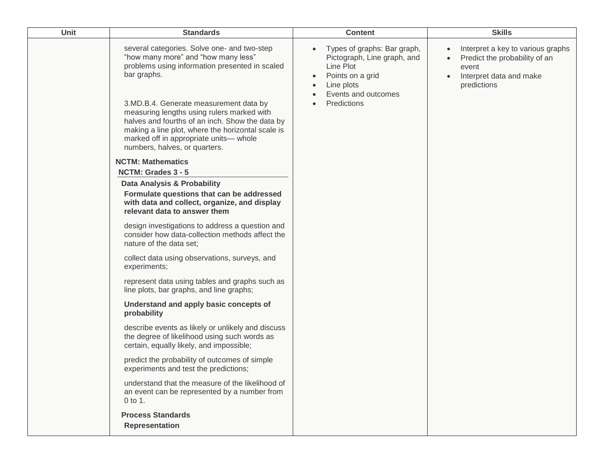| Unit | <b>Standards</b>                                                                                                                                                                                                                                                                                                                                                                                                               | <b>Content</b>                                                                                                                                               | <b>Skills</b>                                                                                                         |
|------|--------------------------------------------------------------------------------------------------------------------------------------------------------------------------------------------------------------------------------------------------------------------------------------------------------------------------------------------------------------------------------------------------------------------------------|--------------------------------------------------------------------------------------------------------------------------------------------------------------|-----------------------------------------------------------------------------------------------------------------------|
|      | several categories. Solve one- and two-step<br>"how many more" and "how many less"<br>problems using information presented in scaled<br>bar graphs.<br>3.MD.B.4. Generate measurement data by<br>measuring lengths using rulers marked with<br>halves and fourths of an inch. Show the data by<br>making a line plot, where the horizontal scale is<br>marked off in appropriate units- whole<br>numbers, halves, or quarters. | Types of graphs: Bar graph,<br>$\bullet$<br>Pictograph, Line graph, and<br>Line Plot<br>Points on a grid<br>Line plots<br>Events and outcomes<br>Predictions | Interpret a key to various graphs<br>Predict the probability of an<br>event<br>Interpret data and make<br>predictions |
|      | <b>NCTM: Mathematics</b>                                                                                                                                                                                                                                                                                                                                                                                                       |                                                                                                                                                              |                                                                                                                       |
|      | NCTM: Grades 3 - 5<br>Data Analysis & Probability<br>Formulate questions that can be addressed<br>with data and collect, organize, and display<br>relevant data to answer them                                                                                                                                                                                                                                                 |                                                                                                                                                              |                                                                                                                       |
|      | design investigations to address a question and<br>consider how data-collection methods affect the<br>nature of the data set;                                                                                                                                                                                                                                                                                                  |                                                                                                                                                              |                                                                                                                       |
|      | collect data using observations, surveys, and<br>experiments;                                                                                                                                                                                                                                                                                                                                                                  |                                                                                                                                                              |                                                                                                                       |
|      | represent data using tables and graphs such as<br>line plots, bar graphs, and line graphs;                                                                                                                                                                                                                                                                                                                                     |                                                                                                                                                              |                                                                                                                       |
|      | Understand and apply basic concepts of<br>probability                                                                                                                                                                                                                                                                                                                                                                          |                                                                                                                                                              |                                                                                                                       |
|      | describe events as likely or unlikely and discuss<br>the degree of likelihood using such words as<br>certain, equally likely, and impossible;                                                                                                                                                                                                                                                                                  |                                                                                                                                                              |                                                                                                                       |
|      | predict the probability of outcomes of simple<br>experiments and test the predictions;                                                                                                                                                                                                                                                                                                                                         |                                                                                                                                                              |                                                                                                                       |
|      | understand that the measure of the likelihood of<br>an event can be represented by a number from<br>0 to 1.                                                                                                                                                                                                                                                                                                                    |                                                                                                                                                              |                                                                                                                       |
|      | <b>Process Standards</b><br><b>Representation</b>                                                                                                                                                                                                                                                                                                                                                                              |                                                                                                                                                              |                                                                                                                       |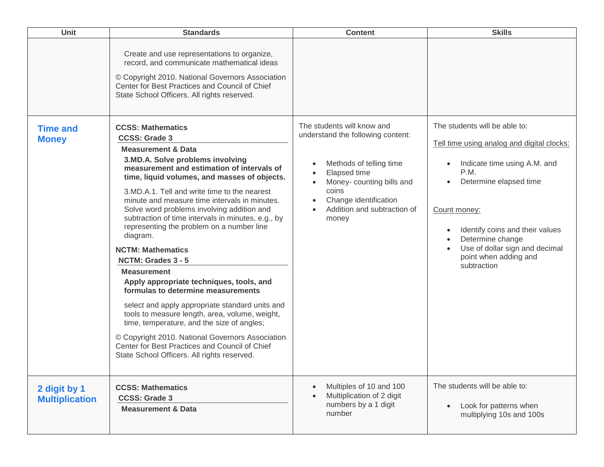| Unit                                  | <b>Standards</b>                                                                                                                                                                                                                                                                                                                                                                                                                                                                                                                                                                                                                                                                                                                                                                                                                                                                                | <b>Content</b>                                                                                                                                 | <b>Skills</b>                                                                                                                                                                                                                                                              |
|---------------------------------------|-------------------------------------------------------------------------------------------------------------------------------------------------------------------------------------------------------------------------------------------------------------------------------------------------------------------------------------------------------------------------------------------------------------------------------------------------------------------------------------------------------------------------------------------------------------------------------------------------------------------------------------------------------------------------------------------------------------------------------------------------------------------------------------------------------------------------------------------------------------------------------------------------|------------------------------------------------------------------------------------------------------------------------------------------------|----------------------------------------------------------------------------------------------------------------------------------------------------------------------------------------------------------------------------------------------------------------------------|
| <b>Time and</b>                       | Create and use representations to organize,<br>record, and communicate mathematical ideas<br>© Copyright 2010. National Governors Association<br>Center for Best Practices and Council of Chief<br>State School Officers. All rights reserved.<br><b>CCSS: Mathematics</b><br><b>CCSS: Grade 3</b>                                                                                                                                                                                                                                                                                                                                                                                                                                                                                                                                                                                              | The students will know and<br>understand the following content:                                                                                | The students will be able to:                                                                                                                                                                                                                                              |
| <b>Money</b>                          | <b>Measurement &amp; Data</b><br>3.MD.A. Solve problems involving<br>measurement and estimation of intervals of<br>time, liquid volumes, and masses of objects.<br>3.MD.A.1. Tell and write time to the nearest<br>minute and measure time intervals in minutes.<br>Solve word problems involving addition and<br>subtraction of time intervals in minutes, e.g., by<br>representing the problem on a number line<br>diagram.<br><b>NCTM: Mathematics</b><br>NCTM: Grades 3 - 5<br><b>Measurement</b><br>Apply appropriate techniques, tools, and<br>formulas to determine measurements<br>select and apply appropriate standard units and<br>tools to measure length, area, volume, weight,<br>time, temperature, and the size of angles;<br>© Copyright 2010. National Governors Association<br>Center for Best Practices and Council of Chief<br>State School Officers. All rights reserved. | Methods of telling time<br>Elapsed time<br>Money- counting bills and<br>coins<br>Change identification<br>Addition and subtraction of<br>money | Tell time using analog and digital clocks:<br>Indicate time using A.M. and<br>P.M.<br>Determine elapsed time<br>Count money:<br>Identify coins and their values<br>$\bullet$<br>Determine change<br>Use of dollar sign and decimal<br>point when adding and<br>subtraction |
| 2 digit by 1<br><b>Multiplication</b> | <b>CCSS: Mathematics</b><br><b>CCSS: Grade 3</b><br><b>Measurement &amp; Data</b>                                                                                                                                                                                                                                                                                                                                                                                                                                                                                                                                                                                                                                                                                                                                                                                                               | Multiples of 10 and 100<br>Multiplication of 2 digit<br>numbers by a 1 digit<br>number                                                         | The students will be able to:<br>Look for patterns when<br>$\bullet$<br>multiplying 10s and 100s                                                                                                                                                                           |